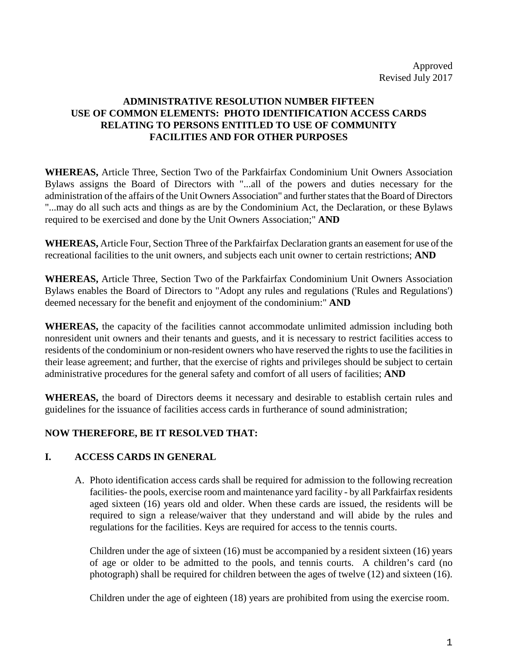# **ADMINISTRATIVE RESOLUTION NUMBER FIFTEEN USE OF COMMON ELEMENTS: PHOTO IDENTIFICATION ACCESS CARDS RELATING TO PERSONS ENTITLED TO USE OF COMMUNITY FACILITIES AND FOR OTHER PURPOSES**

**WHEREAS,** Article Three, Section Two of the Parkfairfax Condominium Unit Owners Association Bylaws assigns the Board of Directors with "...all of the powers and duties necessary for the administration of the affairs of the Unit Owners Association" and further states that the Board of Directors "...may do all such acts and things as are by the Condominium Act, the Declaration, or these Bylaws required to be exercised and done by the Unit Owners Association;" **AND**

**WHEREAS,** Article Four, Section Three of the Parkfairfax Declaration grants an easement for use of the recreational facilities to the unit owners, and subjects each unit owner to certain restrictions; **AND**

**WHEREAS,** Article Three, Section Two of the Parkfairfax Condominium Unit Owners Association Bylaws enables the Board of Directors to "Adopt any rules and regulations ('Rules and Regulations') deemed necessary for the benefit and enjoyment of the condominium:" **AND**

**WHEREAS,** the capacity of the facilities cannot accommodate unlimited admission including both nonresident unit owners and their tenants and guests, and it is necessary to restrict facilities access to residents of the condominium or non-resident owners who have reserved the rights to use the facilities in their lease agreement; and further, that the exercise of rights and privileges should be subject to certain administrative procedures for the general safety and comfort of all users of facilities; **AND**

**WHEREAS,** the board of Directors deems it necessary and desirable to establish certain rules and guidelines for the issuance of facilities access cards in furtherance of sound administration;

# **NOW THEREFORE, BE IT RESOLVED THAT:**

# **I. ACCESS CARDS IN GENERAL**

A. Photo identification access cards shall be required for admission to the following recreation facilities- the pools, exercise room and maintenance yard facility - by all Parkfairfax residents aged sixteen (16) years old and older. When these cards are issued, the residents will be required to sign a release/waiver that they understand and will abide by the rules and regulations for the facilities. Keys are required for access to the tennis courts.

Children under the age of sixteen (16) must be accompanied by a resident sixteen (16) years of age or older to be admitted to the pools, and tennis courts. A children's card (no photograph) shall be required for children between the ages of twelve (12) and sixteen (16).

Children under the age of eighteen (18) years are prohibited from using the exercise room.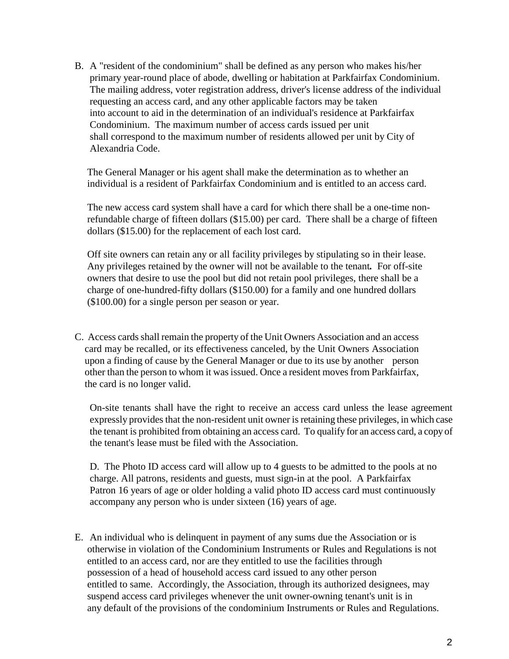B. A "resident of the condominium" shall be defined as any person who makes his/her primary year-round place of abode, dwelling or habitation at Parkfairfax Condominium. The mailing address, voter registration address, driver's license address of the individual requesting an access card, and any other applicable factors may be taken into account to aid in the determination of an individual's residence at Parkfairfax Condominium. The maximum number of access cards issued per unit shall correspond to the maximum number of residents allowed per unit by City of Alexandria Code.

 The General Manager or his agent shall make the determination as to whether an individual is a resident of Parkfairfax Condominium and is entitled to an access card.

 The new access card system shall have a card for which there shall be a one-time non refundable charge of fifteen dollars (\$15.00) per card. There shall be a charge of fifteen dollars (\$15.00) for the replacement of each lost card.

Off site owners can retain any or all facility privileges by stipulating so in their lease. Any privileges retained by the owner will not be available to the tenant*.* For off-site owners that desire to use the pool but did not retain pool privileges, there shall be a charge of one-hundred-fifty dollars (\$150.00) for a family and one hundred dollars (\$100.00) for a single person per season or year.

C. Access cards shall remain the property of the Unit Owners Association and an access card may be recalled, or its effectiveness canceled, by the Unit Owners Association upon a finding of cause by the General Manager or due to its use by another person other than the person to whom it was issued. Once a resident moves from Parkfairfax, the card is no longer valid.

On-site tenants shall have the right to receive an access card unless the lease agreement expressly provides that the non-resident unit owner is retaining these privileges, in which case the tenant is prohibited from obtaining an access card. To qualify for an access card, a copy of the tenant's lease must be filed with the Association.

D. The Photo ID access card will allow up to 4 guests to be admitted to the pools at no charge. All patrons, residents and guests, must sign-in at the pool. A Parkfairfax Patron 16 years of age or older holding a valid photo ID access card must continuously accompany any person who is under sixteen (16) years of age.

E. An individual who is delinquent in payment of any sums due the Association or is otherwise in violation of the Condominium Instruments or Rules and Regulations is not entitled to an access card, nor are they entitled to use the facilities through possession of a head of household access card issued to any other person entitled to same. Accordingly, the Association, through its authorized designees, may suspend access card privileges whenever the unit owner-owning tenant's unit is in any default of the provisions of the condominium Instruments or Rules and Regulations.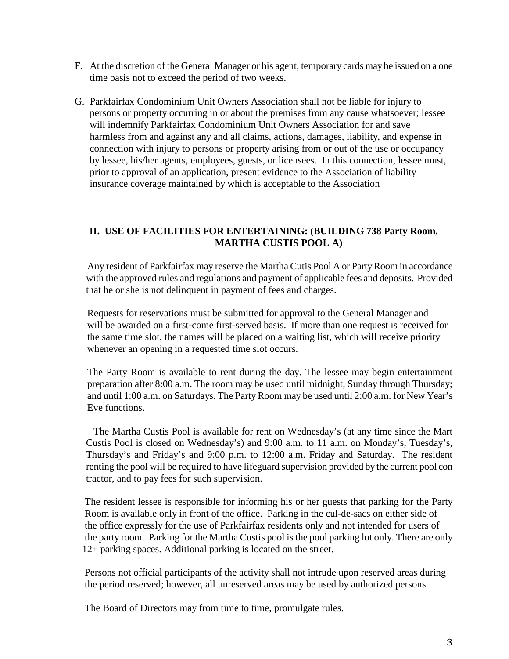- F. At the discretion of the General Manager or his agent, temporary cards may be issued on a one time basis not to exceed the period of two weeks.
- G. Parkfairfax Condominium Unit Owners Association shall not be liable for injury to persons or property occurring in or about the premises from any cause whatsoever; lessee will indemnify Parkfairfax Condominium Unit Owners Association for and save harmless from and against any and all claims, actions, damages, liability, and expense in connection with injury to persons or property arising from or out of the use or occupancy by lessee, his/her agents, employees, guests, or licensees. In this connection, lessee must, prior to approval of an application, present evidence to the Association of liability insurance coverage maintained by which is acceptable to the Association

# **II. USE OF FACILITIES FOR ENTERTAINING: (BUILDING 738 Party Room, MARTHA CUSTIS POOL A)**

 Any resident of Parkfairfax may reserve the Martha Cutis Pool A or Party Room in accordance with the approved rules and regulations and payment of applicable fees and deposits. Provided that he or she is not delinquent in payment of fees and charges.

 Requests for reservations must be submitted for approval to the General Manager and will be awarded on a first-come first-served basis. If more than one request is received for the same time slot, the names will be placed on a waiting list, which will receive priority whenever an opening in a requested time slot occurs.

The Party Room is available to rent during the day. The lessee may begin entertainment preparation after 8:00 a.m. The room may be used until midnight, Sunday through Thursday; and until 1:00 a.m. on Saturdays. The Party Room may be used until 2:00 a.m. for New Year's Eve functions.

 The Martha Custis Pool is available for rent on Wednesday's (at any time since the Mart Custis Pool is closed on Wednesday's) and 9:00 a.m. to 11 a.m. on Monday's, Tuesday's, Thursday's and Friday's and 9:00 p.m. to 12:00 a.m. Friday and Saturday. The resident renting the pool will be required to have lifeguard supervision provided by the current pool con tractor, and to pay fees for such supervision.

The resident lessee is responsible for informing his or her guests that parking for the Party Room is available only in front of the office. Parking in the cul-de-sacs on either side of the office expressly for the use of Parkfairfax residents only and not intended for users of the party room. Parking for the Martha Custis pool is the pool parking lot only. There are only 12+ parking spaces. Additional parking is located on the street.

 Persons not official participants of the activity shall not intrude upon reserved areas during the period reserved; however, all unreserved areas may be used by authorized persons.

The Board of Directors may from time to time, promulgate rules.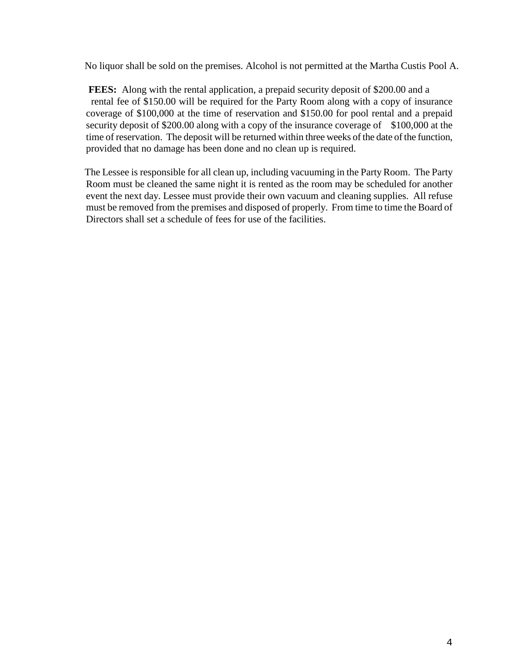No liquor shall be sold on the premises. Alcohol is not permitted at the Martha Custis Pool A.

**FEES:** Along with the rental application, a prepaid security deposit of \$200.00 and a rental fee of \$150.00 will be required for the Party Room along with a copy of insurance coverage of \$100,000 at the time of reservation and \$150.00 for pool rental and a prepaid security deposit of \$200.00 along with a copy of the insurance coverage of \$100,000 at the time of reservation. The deposit will be returned within three weeks of the date of the function, provided that no damage has been done and no clean up is required.

 The Lessee is responsible for all clean up, including vacuuming in the Party Room. The Party Room must be cleaned the same night it is rented as the room may be scheduled for another event the next day. Lessee must provide their own vacuum and cleaning supplies. All refuse must be removed from the premises and disposed of properly.From time to time the Board of Directors shall set a schedule of fees for use of the facilities.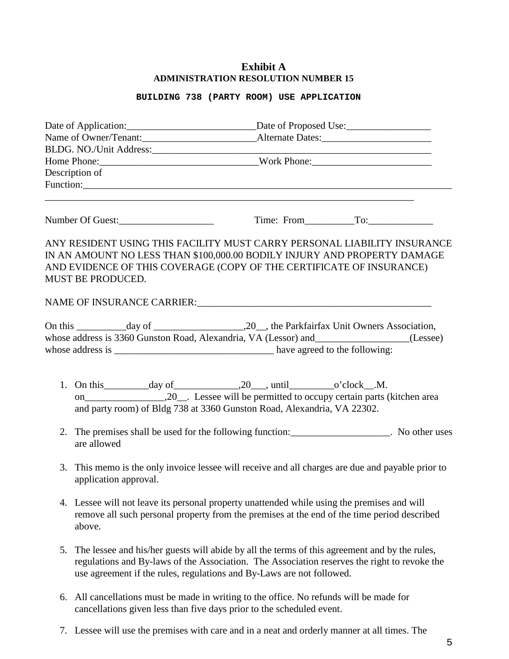## **Exhibit A ADMINISTRATION RESOLUTION NUMBER 15**

#### **BUILDING 738 (PARTY ROOM) USE APPLICATION**

| Date of Application: _________________________________Date of Proposed Use: __________________________________ |                                                                                                                                                                                                                                                                        |  |                |
|----------------------------------------------------------------------------------------------------------------|------------------------------------------------------------------------------------------------------------------------------------------------------------------------------------------------------------------------------------------------------------------------|--|----------------|
|                                                                                                                |                                                                                                                                                                                                                                                                        |  |                |
|                                                                                                                |                                                                                                                                                                                                                                                                        |  |                |
| Description of                                                                                                 |                                                                                                                                                                                                                                                                        |  |                |
|                                                                                                                |                                                                                                                                                                                                                                                                        |  |                |
|                                                                                                                |                                                                                                                                                                                                                                                                        |  |                |
|                                                                                                                | Number Of Guest:                                                                                                                                                                                                                                                       |  | Time: From To: |
|                                                                                                                | ANY RESIDENT USING THIS FACILITY MUST CARRY PERSONAL LIABILITY INSURANCE<br>IN AN AMOUNT NO LESS THAN \$100,000.00 BODILY INJURY AND PROPERTY DAMAGE<br>AND EVIDENCE OF THIS COVERAGE (COPY OF THE CERTIFICATE OF INSURANCE)<br>MUST BE PRODUCED.                      |  |                |
|                                                                                                                | NAME OF INSURANCE CARRIER:                                                                                                                                                                                                                                             |  |                |
|                                                                                                                | whose address is 3360 Gunston Road, Alexandria, VA (Lessor) and _______________(Lessee)                                                                                                                                                                                |  |                |
|                                                                                                                | 1. On this $\qquad \qquad \text{day of} \qquad \qquad .20 \qquad \text{until} \qquad \qquad \text{o'clock} \qquad .M.$<br>and party room) of Bldg 738 at 3360 Gunston Road, Alexandria, VA 22302.                                                                      |  |                |
| 2.                                                                                                             | The premises shall be used for the following function: ____________________. No other uses<br>are allowed                                                                                                                                                              |  |                |
| 3.                                                                                                             | This memo is the only invoice lessee will receive and all charges are due and payable prior to<br>application approval.                                                                                                                                                |  |                |
|                                                                                                                | 4. Lessee will not leave its personal property unattended while using the premises and will<br>remove all such personal property from the premises at the end of the time period described<br>above.                                                                   |  |                |
| 5.                                                                                                             | The lessee and his/her guests will abide by all the terms of this agreement and by the rules,<br>regulations and By-laws of the Association. The Association reserves the right to revoke the<br>use agreement if the rules, regulations and By-Laws are not followed. |  |                |

- 6. All cancellations must be made in writing to the office. No refunds will be made for cancellations given less than five days prior to the scheduled event.
- 7. Lessee will use the premises with care and in a neat and orderly manner at all times. The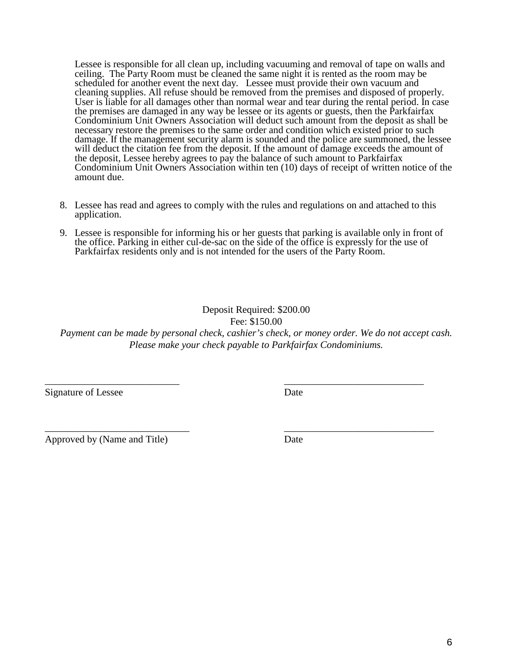Lessee is responsible for all clean up, including vacuuming and removal of tape on walls and ceiling. The Party Room must be cleaned the same night it is rented as the room may be scheduled for another event the next day. Lessee must provide their own vacuum and cleaning supplies. All refuse should be removed from the premises and disposed of properly. User is liable for all damages other than normal wear and tear during the rental period. In case the premises are damaged in any way be lessee or its agents or guests, then the Parkfairfax Condominium Unit Owners Association will deduct such amount from the deposit as shall be necessary restore the premises to the same order and condition which existed prior to such damage. If the management security alarm is sounded and the police are summoned, the lessee will deduct the citation fee from the deposit. If the amount of damage exceeds the amount of the deposit, Lessee hereby agrees to pay the balance of such amount to Parkfairfax Condominium Unit Owners Association within ten (10) days of receipt of written notice of the amount due.

- 8. Lessee has read and agrees to comply with the rules and regulations on and attached to this application.
- 9. Lessee is responsible for informing his or her guests that parking is available only in front of the office. Parking in either cul-de-sac on the side of the office is expressly for the use of Parkfairfax residents only and is not intended for the users of the Party Room.

# Deposit Required: \$200.00 Fee: \$150.00 *Payment can be made by personal check, cashier's check, or money order. We do not accept cash. Please make your check payable to Parkfairfax Condominiums.*

\_\_\_\_\_\_\_\_\_\_\_\_\_\_\_\_\_\_\_\_\_\_\_\_\_\_\_ \_\_\_\_\_\_\_\_\_\_\_\_\_\_\_\_\_\_\_\_\_\_\_\_\_\_\_\_

\_\_\_\_\_\_\_\_\_\_\_\_\_\_\_\_\_\_\_\_\_\_\_\_\_\_\_\_\_ \_\_\_\_\_\_\_\_\_\_\_\_\_\_\_\_\_\_\_\_\_\_\_\_\_\_\_\_\_\_

Signature of Lessee Date

Approved by (Name and Title) Date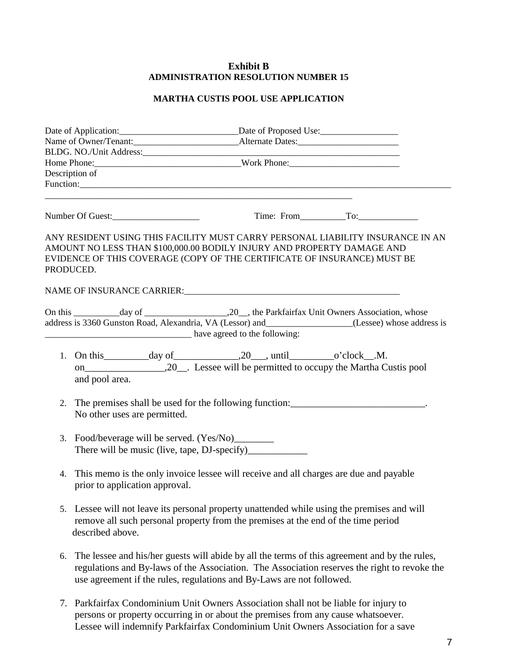## **Exhibit B ADMINISTRATION RESOLUTION NUMBER 15**

## **MARTHA CUSTIS POOL USE APPLICATION**

| Date of Application: Date of Proposed Use: |                                                                                                                                                                                                      |                                                                                                                                                                                                                                                                        |  |  |
|--------------------------------------------|------------------------------------------------------------------------------------------------------------------------------------------------------------------------------------------------------|------------------------------------------------------------------------------------------------------------------------------------------------------------------------------------------------------------------------------------------------------------------------|--|--|
|                                            |                                                                                                                                                                                                      |                                                                                                                                                                                                                                                                        |  |  |
|                                            |                                                                                                                                                                                                      |                                                                                                                                                                                                                                                                        |  |  |
|                                            |                                                                                                                                                                                                      |                                                                                                                                                                                                                                                                        |  |  |
|                                            | Description of                                                                                                                                                                                       |                                                                                                                                                                                                                                                                        |  |  |
|                                            |                                                                                                                                                                                                      |                                                                                                                                                                                                                                                                        |  |  |
|                                            | Number Of Guest:                                                                                                                                                                                     | $Time: From$ To:                                                                                                                                                                                                                                                       |  |  |
|                                            | PRODUCED.                                                                                                                                                                                            | ANY RESIDENT USING THIS FACILITY MUST CARRY PERSONAL LIABILITY INSURANCE IN AN<br>AMOUNT NO LESS THAN \$100,000.00 BODILY INJURY AND PROPERTY DAMAGE AND<br>EVIDENCE OF THIS COVERAGE (COPY OF THE CERTIFICATE OF INSURANCE) MUST BE                                   |  |  |
|                                            |                                                                                                                                                                                                      | NAME OF INSURANCE CARRIER: NAME OF INSURANCE OF THE SERVICE OF THE SERVICE OF THE SERVICE OF THE SERVICE OF THE SERVICE OF THE SERVICE OF THE SERVICE OF THE SERVICE OF THE SERVICE OF THE SERVICE OF THE SERVICE OF THE SERVI                                         |  |  |
|                                            |                                                                                                                                                                                                      | address is 3360 Gunston Road, Alexandria, VA (Lessor) and________________(Lessee) whose address is<br>have agreed to the following:                                                                                                                                    |  |  |
|                                            | and pool area.                                                                                                                                                                                       |                                                                                                                                                                                                                                                                        |  |  |
| 2.                                         | The premises shall be used for the following function: _________________________.<br>No other uses are permitted.                                                                                    |                                                                                                                                                                                                                                                                        |  |  |
| 3.                                         |                                                                                                                                                                                                      |                                                                                                                                                                                                                                                                        |  |  |
| 4.                                         | This memo is the only invoice lessee will receive and all charges are due and payable<br>prior to application approval.                                                                              |                                                                                                                                                                                                                                                                        |  |  |
|                                            | 5. Lessee will not leave its personal property unattended while using the premises and will<br>remove all such personal property from the premises at the end of the time period<br>described above. |                                                                                                                                                                                                                                                                        |  |  |
| 6.                                         |                                                                                                                                                                                                      | The lessee and his/her guests will abide by all the terms of this agreement and by the rules,<br>regulations and By-laws of the Association. The Association reserves the right to revoke the<br>use agreement if the rules, regulations and By-Laws are not followed. |  |  |

7. Parkfairfax Condominium Unit Owners Association shall not be liable for injury to persons or property occurring in or about the premises from any cause whatsoever. Lessee will indemnify Parkfairfax Condominium Unit Owners Association for a save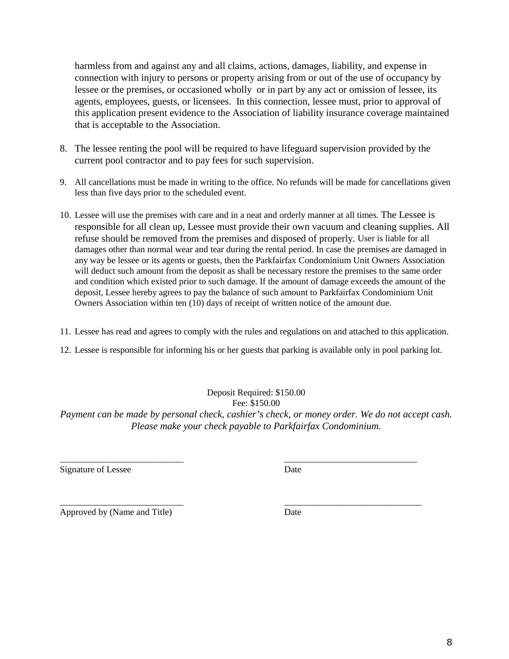harmless from and against any and all claims, actions, damages, liability, and expense in connection with injury to persons or property arising from or out of the use of occupancy by lessee or the premises, or occasioned wholly or in part by any act or omission of lessee, its agents, employees, guests, or licensees. In this connection, lessee must, prior to approval of this application present evidence to the Association of liability insurance coverage maintained that is acceptable to the Association.

- 8. The lessee renting the pool will be required to have lifeguard supervision provided by the current pool contractor and to pay fees for such supervision.
- 9. All cancellations must be made in writing to the office. No refunds will be made for cancellations given less than five days prior to the scheduled event.
- 10. Lessee will use the premises with care and in a neat and orderly manner at all times. The Lessee is responsible for all clean up, Lessee must provide their own vacuum and cleaning supplies. All refuse should be removed from the premises and disposed of properly. User is liable for all damages other than normal wear and tear during the rental period. In case the premises are damaged in any way be lessee or its agents or guests, then the Parkfairfax Condominium Unit Owners Association will deduct such amount from the deposit as shall be necessary restore the premises to the same order and condition which existed prior to such damage. If the amount of damage exceeds the amount of the deposit, Lessee hereby agrees to pay the balance of such amount to Parkfairfax Condominium Unit Owners Association within ten (10) days of receipt of written notice of the amount due.
- 11. Lessee has read and agrees to comply with the rules and regulations on and attached to this application.
- 12. Lessee is responsible for informing his or her guests that parking is available only in pool parking lot.

Deposit Required: \$150.00 Fee: \$150.00 *Payment can be made by personal check, cashier's check, or money order. We do not accept cash. Please make your check payable to Parkfairfax Condominium.* 

\_\_\_\_\_\_\_\_\_\_\_\_\_\_\_\_\_\_\_\_\_\_\_\_\_\_\_ \_\_\_\_\_\_\_\_\_\_\_\_\_\_\_\_\_\_\_\_\_\_\_\_\_\_\_\_\_

Signature of Lessee Date

\_\_\_\_\_\_\_\_\_\_\_\_\_\_\_\_\_\_\_\_\_\_\_\_\_\_\_ \_\_\_\_\_\_\_\_\_\_\_\_\_\_\_\_\_\_\_\_\_\_\_\_\_\_\_\_\_\_ Approved by (Name and Title) Date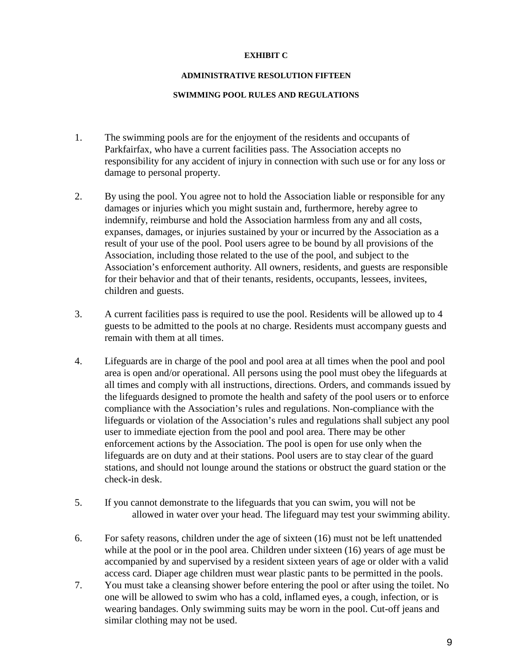### **EXHIBIT C**

#### **ADMINISTRATIVE RESOLUTION FIFTEEN**

#### **SWIMMING POOL RULES AND REGULATIONS**

- 1. The swimming pools are for the enjoyment of the residents and occupants of Parkfairfax, who have a current facilities pass. The Association accepts no responsibility for any accident of injury in connection with such use or for any loss or damage to personal property.
- 2. By using the pool. You agree not to hold the Association liable or responsible for any damages or injuries which you might sustain and, furthermore, hereby agree to indemnify, reimburse and hold the Association harmless from any and all costs, expanses, damages, or injuries sustained by your or incurred by the Association as a result of your use of the pool. Pool users agree to be bound by all provisions of the Association, including those related to the use of the pool, and subject to the Association's enforcement authority. All owners, residents, and guests are responsible for their behavior and that of their tenants, residents, occupants, lessees, invitees, children and guests.
- 3. A current facilities pass is required to use the pool. Residents will be allowed up to 4 guests to be admitted to the pools at no charge. Residents must accompany guests and remain with them at all times.
- 4. Lifeguards are in charge of the pool and pool area at all times when the pool and pool area is open and/or operational. All persons using the pool must obey the lifeguards at all times and comply with all instructions, directions. Orders, and commands issued by the lifeguards designed to promote the health and safety of the pool users or to enforce compliance with the Association's rules and regulations. Non-compliance with the lifeguards or violation of the Association's rules and regulations shall subject any pool user to immediate ejection from the pool and pool area. There may be other enforcement actions by the Association. The pool is open for use only when the lifeguards are on duty and at their stations. Pool users are to stay clear of the guard stations, and should not lounge around the stations or obstruct the guard station or the check-in desk.
- 5. If you cannot demonstrate to the lifeguards that you can swim, you will not be allowed in water over your head. The lifeguard may test your swimming ability.
- 6. For safety reasons, children under the age of sixteen (16) must not be left unattended while at the pool or in the pool area. Children under sixteen (16) years of age must be accompanied by and supervised by a resident sixteen years of age or older with a valid access card. Diaper age children must wear plastic pants to be permitted in the pools.
- 7. You must take a cleansing shower before entering the pool or after using the toilet. No one will be allowed to swim who has a cold, inflamed eyes, a cough, infection, or is wearing bandages. Only swimming suits may be worn in the pool. Cut-off jeans and similar clothing may not be used.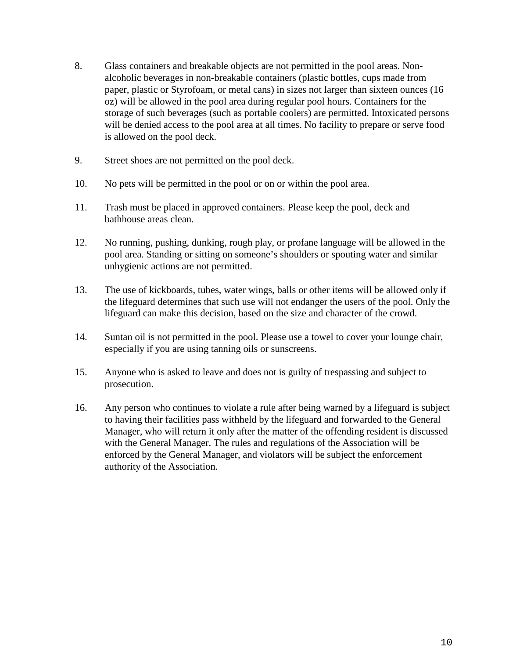- 8. Glass containers and breakable objects are not permitted in the pool areas. Nonalcoholic beverages in non-breakable containers (plastic bottles, cups made from paper, plastic or Styrofoam, or metal cans) in sizes not larger than sixteen ounces (16 oz) will be allowed in the pool area during regular pool hours. Containers for the storage of such beverages (such as portable coolers) are permitted. Intoxicated persons will be denied access to the pool area at all times. No facility to prepare or serve food is allowed on the pool deck.
- 9. Street shoes are not permitted on the pool deck.
- 10. No pets will be permitted in the pool or on or within the pool area.
- 11. Trash must be placed in approved containers. Please keep the pool, deck and bathhouse areas clean.
- 12. No running, pushing, dunking, rough play, or profane language will be allowed in the pool area. Standing or sitting on someone's shoulders or spouting water and similar unhygienic actions are not permitted.
- 13. The use of kickboards, tubes, water wings, balls or other items will be allowed only if the lifeguard determines that such use will not endanger the users of the pool. Only the lifeguard can make this decision, based on the size and character of the crowd.
- 14. Suntan oil is not permitted in the pool. Please use a towel to cover your lounge chair, especially if you are using tanning oils or sunscreens.
- 15. Anyone who is asked to leave and does not is guilty of trespassing and subject to prosecution.
- 16. Any person who continues to violate a rule after being warned by a lifeguard is subject to having their facilities pass withheld by the lifeguard and forwarded to the General Manager, who will return it only after the matter of the offending resident is discussed with the General Manager. The rules and regulations of the Association will be enforced by the General Manager, and violators will be subject the enforcement authority of the Association.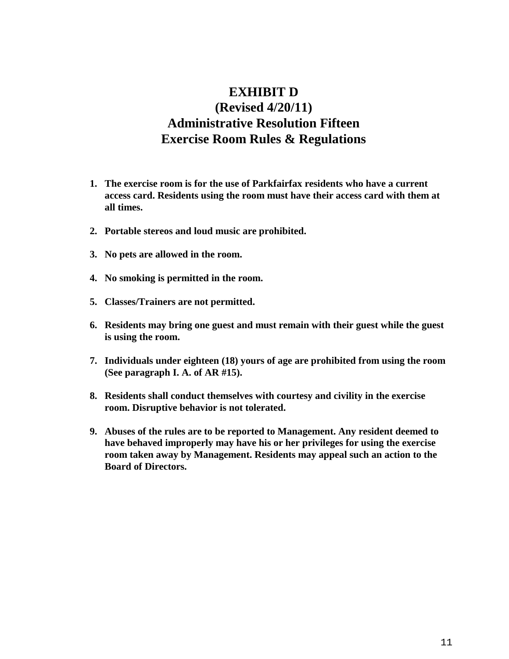# **EXHIBIT D (Revised 4/20/11) Administrative Resolution Fifteen Exercise Room Rules & Regulations**

- **1. The exercise room is for the use of Parkfairfax residents who have a current access card. Residents using the room must have their access card with them at all times.**
- **2. Portable stereos and loud music are prohibited.**
- **3. No pets are allowed in the room.**
- **4. No smoking is permitted in the room.**
- **5. Classes/Trainers are not permitted.**
- **6. Residents may bring one guest and must remain with their guest while the guest is using the room.**
- **7. Individuals under eighteen (18) yours of age are prohibited from using the room (See paragraph I. A. of AR #15).**
- **8. Residents shall conduct themselves with courtesy and civility in the exercise room. Disruptive behavior is not tolerated.**
- **9. Abuses of the rules are to be reported to Management. Any resident deemed to have behaved improperly may have his or her privileges for using the exercise room taken away by Management. Residents may appeal such an action to the Board of Directors.**